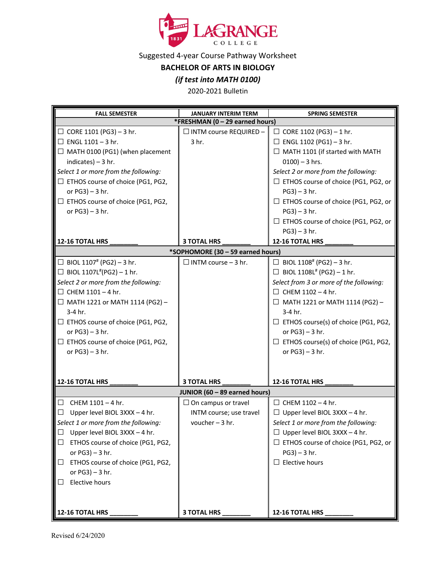

Suggested 4-year Course Pathway Worksheet

**BACHELOR OF ARTS IN BIOLOGY**

## *(if test into MATH 0100)*

2020-2021 Bulletin

| <b>FALL SEMESTER</b>                        | <b>JANUARY INTERIM TERM</b>   | <b>SPRING SEMESTER</b>                       |  |  |  |
|---------------------------------------------|-------------------------------|----------------------------------------------|--|--|--|
| *FRESHMAN (0 - 29 earned hours)             |                               |                                              |  |  |  |
| $\Box$ CORE 1101 (PG3) - 3 hr.              | $\Box$ INTM course REQUIRED - | $\Box$ CORE 1102 (PG3) - 1 hr.               |  |  |  |
| $\Box$ ENGL 1101 - 3 hr.                    | 3 hr.                         | $\Box$ ENGL 1102 (PG1) - 3 hr.               |  |  |  |
| $\Box$ MATH 0100 (PG1) (when placement      |                               | □ MATH 1101 (if started with MATH            |  |  |  |
| indicates) $-3$ hr.                         |                               | $0100$ ) - 3 hrs.                            |  |  |  |
| Select 1 or more from the following:        |                               | Select 2 or more from the following:         |  |  |  |
| □ ETHOS course of choice (PG1, PG2,         |                               | □ ETHOS course of choice (PG1, PG2, or       |  |  |  |
| or $PG3$ ) – 3 hr.                          |                               | $PG3$ ) – 3 hr.                              |  |  |  |
| □ ETHOS course of choice (PG1, PG2,         |                               | □ ETHOS course of choice (PG1, PG2, or       |  |  |  |
| or $PG3$ ) - 3 hr.                          |                               | $PG3$ ) – 3 hr.                              |  |  |  |
|                                             |                               | □ ETHOS course of choice (PG1, PG2, or       |  |  |  |
|                                             |                               | $PG3$ ) – 3 hr.                              |  |  |  |
| 12-16 TOTAL HRS                             | <b>3 TOTAL HRS</b>            | 12-16 TOTAL HRS                              |  |  |  |
| *SOPHOMORE (30 - 59 earned hours)           |                               |                                              |  |  |  |
| □ BIOL 1107 <sup>#</sup> (PG2) - 3 hr.      | $\Box$ INTM course - 3 hr.    | □ BIOL 1108 <sup>#</sup> (PG2) - 3 hr.       |  |  |  |
| □ BIOL 1107L <sup>#</sup> (PG2) - 1 hr.     |                               | $\Box$ BIOL 1108L <sup>#</sup> (PG2) - 1 hr. |  |  |  |
| Select 2 or more from the following:        |                               | Select from 3 or more of the following:      |  |  |  |
| $\Box$ CHEM 1101 - 4 hr.                    |                               | $\Box$ CHEM 1102 - 4 hr.                     |  |  |  |
| $\Box$ MATH 1221 or MATH 1114 (PG2) -       |                               | $\Box$ MATH 1221 or MATH 1114 (PG2) -        |  |  |  |
| 3-4 hr.                                     |                               | 3-4 hr.                                      |  |  |  |
| $\Box$ ETHOS course of choice (PG1, PG2,    |                               | $\Box$ ETHOS course(s) of choice (PG1, PG2,  |  |  |  |
| or $PG3$ ) – 3 hr.                          |                               | or $PG3$ ) - 3 hr.                           |  |  |  |
| □ ETHOS course of choice (PG1, PG2,         |                               | □ ETHOS course(s) of choice (PG1, PG2,       |  |  |  |
| or $PG3$ ) – 3 hr.                          |                               | or $PG3$ ) - 3 hr.                           |  |  |  |
|                                             |                               |                                              |  |  |  |
|                                             |                               |                                              |  |  |  |
| 12-16 TOTAL HRS                             | <b>3 TOTAL HRS</b>            | 12-16 TOTAL HRS                              |  |  |  |
| JUNIOR (60 - 89 earned hours)               |                               |                                              |  |  |  |
| CHEM 1101 - 4 hr.<br>$\Box$                 | $\Box$ On campus or travel    | $\Box$ CHEM 1102 - 4 hr.                     |  |  |  |
| Upper level BIOL 3XXX - 4 hr.<br>$\Box$     | INTM course; use travel       | $\Box$ Upper level BIOL 3XXX - 4 hr.         |  |  |  |
| Select 1 or more from the following:        | voucher $-3$ hr.              | Select 1 or more from the following:         |  |  |  |
| Upper level BIOL 3XXX - 4 hr.<br>$\Box$     |                               | $\Box$ Upper level BIOL 3XXX - 4 hr.         |  |  |  |
| ETHOS course of choice (PG1, PG2,<br>$\Box$ |                               | □ ETHOS course of choice (PG1, PG2, or       |  |  |  |
| or $PG3$ ) - 3 hr.                          |                               | $PG3$ ) – 3 hr.                              |  |  |  |
| ETHOS course of choice (PG1, PG2,<br>$\Box$ |                               | $\Box$ Elective hours                        |  |  |  |
| or PG3) - 3 hr.                             |                               |                                              |  |  |  |
| Elective hours<br>$\Box$                    |                               |                                              |  |  |  |
|                                             |                               |                                              |  |  |  |
|                                             |                               |                                              |  |  |  |
| 12-16 TOTAL HRS                             | 3 TOTAL HRS                   | 12-16 TOTAL HRS                              |  |  |  |